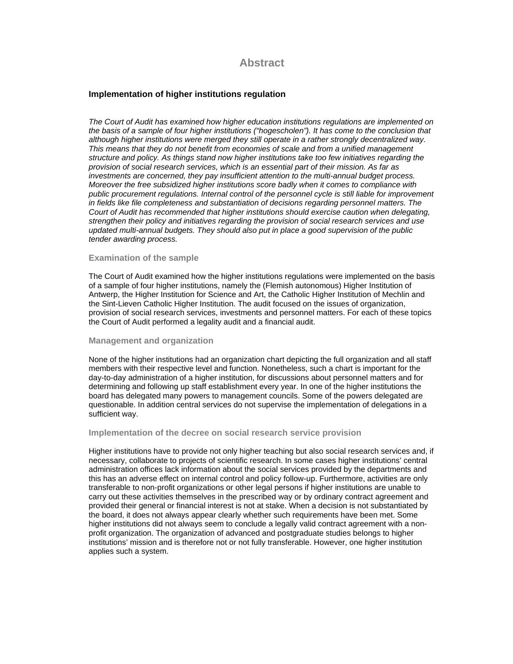# **Abstract**

## **Implementation of higher institutions regulation**

*The Court of Audit has examined how higher education institutions regulations are implemented on the basis of a sample of four higher institutions ("hogescholen"). It has come to the conclusion that although higher institutions were merged they still operate in a rather strongly decentralized way. This means that they do not benefit from economies of scale and from a unified management structure and policy. As things stand now higher institutions take too few initiatives regarding the provision of social research services, which is an essential part of their mission. As far as investments are concerned, they pay insufficient attention to the multi-annual budget process. Moreover the free subsidized higher institutions score badly when it comes to compliance with public procurement regulations. Internal control of the personnel cycle is still liable for improvement in fields like file completeness and substantiation of decisions regarding personnel matters. The Court of Audit has recommended that higher institutions should exercise caution when delegating, strengthen their policy and initiatives regarding the provision of social research services and use updated multi-annual budgets. They should also put in place a good supervision of the public tender awarding process.* 

### **Examination of the sample**

The Court of Audit examined how the higher institutions regulations were implemented on the basis of a sample of four higher institutions, namely the (Flemish autonomous) Higher Institution of Antwerp, the Higher Institution for Science and Art, the Catholic Higher Institution of Mechlin and the Sint-Lieven Catholic Higher Institution. The audit focused on the issues of organization, provision of social research services, investments and personnel matters. For each of these topics the Court of Audit performed a legality audit and a financial audit.

#### **Management and organization**

None of the higher institutions had an organization chart depicting the full organization and all staff members with their respective level and function. Nonetheless, such a chart is important for the day-to-day administration of a higher institution, for discussions about personnel matters and for determining and following up staff establishment every year. In one of the higher institutions the board has delegated many powers to management councils. Some of the powers delegated are questionable. In addition central services do not supervise the implementation of delegations in a sufficient way.

#### **Implementation of the decree on social research service provision**

Higher institutions have to provide not only higher teaching but also social research services and, if necessary, collaborate to projects of scientific research. In some cases higher institutions' central administration offices lack information about the social services provided by the departments and this has an adverse effect on internal control and policy follow-up. Furthermore, activities are only transferable to non-profit organizations or other legal persons if higher institutions are unable to carry out these activities themselves in the prescribed way or by ordinary contract agreement and provided their general or financial interest is not at stake. When a decision is not substantiated by the board, it does not always appear clearly whether such requirements have been met. Some higher institutions did not always seem to conclude a legally valid contract agreement with a nonprofit organization. The organization of advanced and postgraduate studies belongs to higher institutions' mission and is therefore not or not fully transferable. However, one higher institution applies such a system.